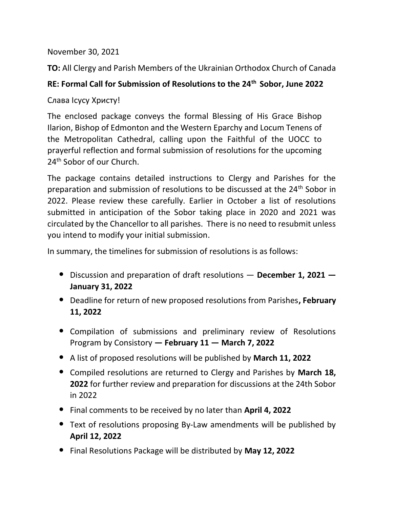November 30, 2021

TO: All Clergy and Parish Members of the Ukrainian Orthodox Church of Canada

## RE: Formal Call for Submission of Resolutions to the 24<sup>th</sup> Sobor, June 2022

Cлaвa Icycy Xристу!

The enclosed package conveys the formal Blessing of His Grace Bishop Ilarion, Bishop of Edmonton and the Western Eparchy and Locum Tenens of the Metropolitan Cathedral, calling upon the Faithful of the UOCC to prayerful reflection and formal submission of resolutions for the upcoming 24<sup>th</sup> Sobor of our Church.

The package contains detailed instructions to Clergy and Parishes for the preparation and submission of resolutions to be discussed at the 24<sup>th</sup> Sobor in 2022. Please review these carefully. Earlier in October a list of resolutions submitted in anticipation of the Sobor taking place in 2020 and 2021 was circulated by the Chancellor to all parishes. There is no need to resubmit unless you intend to modify your initial submission.

In summary, the timelines for submission of resolutions is as follows:

- Discussion and preparation of draft resolutions December 1, 2021 January 31, 2022
- Deadline for return of new proposed resolutions from Parishes, February 11, 2022
- Compilation of submissions and preliminary review of Resolutions Program by Consistory — February 11 — March 7, 2022
- A list of proposed resolutions will be published by March 11, 2022
- Compiled resolutions are returned to Clergy and Parishes by March 18, 2022 for further review and preparation for discussions at the 24th Sobor in 2022
- Final comments to be received by no later than April 4, 2022
- Text of resolutions proposing By-Law amendments will be published by April 12, 2022
- Final Resolutions Package will be distributed by May 12, 2022